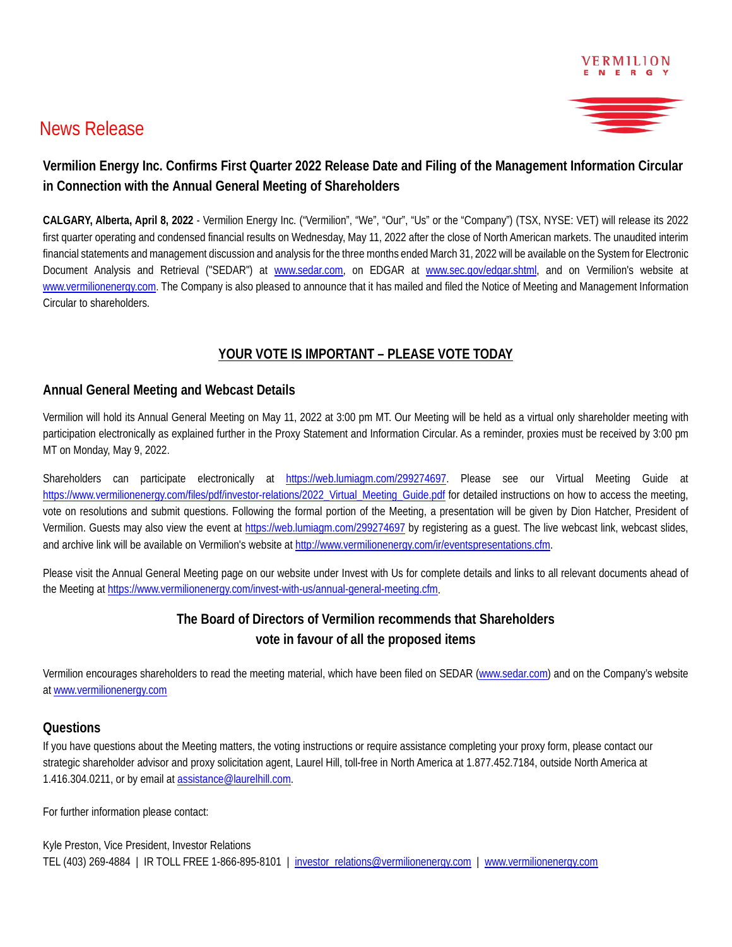

# News Release

# **Vermilion Energy Inc. Confirms First Quarter 2022 Release Date and Filing of the Management Information Circular in Connection with the Annual General Meeting of Shareholders**

**CALGARY, Alberta, April 8, 2022** - Vermilion Energy Inc. ("Vermilion", "We", "Our", "Us" or the "Company") (TSX, NYSE: VET) will release its 2022 first quarter operating and condensed financial results on Wednesday, May 11, 2022 after the close of North American markets. The unaudited interim financial statements and management discussion and analysis for the three months ended March 31, 2022 will be available on the System for Electronic Document Analysis and Retrieval ("SEDAR") at [www.sedar.com,](http://www.sedar.com/) on EDGAR at [www.sec.gov/edgar.shtml,](http://www.sec.gov/edgar.shtml) and on Vermilion's website at [www.vermilionenergy.com.](http://www.vermilionenergy.com/) The Company is also pleased to announce that it has mailed and filed the Notice of Meeting and Management Information Circular to shareholders.

## **YOUR VOTE IS IMPORTANT – PLEASE VOTE TODAY**

#### **Annual General Meeting and Webcast Details**

Vermilion will hold its Annual General Meeting on May 11, 2022 at 3:00 pm MT. Our Meeting will be held as a virtual only shareholder meeting with participation electronically as explained further in the Proxy Statement and Information Circular. As a reminder, proxies must be received by 3:00 pm MT on Monday, May 9, 2022.

Shareholders can participate electronically at [https://web.lumiagm.com/299274697.](https://can01.safelinks.protection.outlook.com/?url=https%3A%2F%2Furldefense.proofpoint.com%2Fv2%2Furl%3Fu%3Dhttps-3A__web.lumiagm.com_299274697%26d%3DDwQGaQ%26c%3DeuGZstcaTDllvimEN8b7jXrwqOf-v5A_CdpgnVfiiMM%26r%3DvYrn6mTpTFhrhAmhUgOm52JT5ljXjXAt00UfQvsnfVE%26m%3DcEcHK4Xnwfgqs832mlRSqk0FQ8_3KZQLpRasG-FlVnc%26s%3DdQK86dn7sU7-BErXB20RmUdhjF18J9qurBfL-duIq2Y%26e%3D&data=04%7C01%7Cpatton%40vermilionenergy.com%7Cb7886d6989e244da8bdb08d9f888ead6%7C62e14f2dd68d4f70b073aadb783a61b9%7C0%7C0%7C637814090277786937%7CUnknown%7CTWFpbGZsb3d8eyJWIjoiMC4wLjAwMDAiLCJQIjoiV2luMzIiLCJBTiI6Ik1haWwiLCJXVCI6Mn0%3D%7C1000&sdata=vH3nI44SB6d1KjtPexdtfO1w4H33LgAUAz7Hm%2BYd1Lo%3D&reserved=0) Please see our Virtual Meeting Guide at [https://www.vermilionenergy.com/files/pdf/investor-relations/2022\\_Virtual\\_Meeting\\_Guide.pdf](https://www.vermilionenergy.com/files/pdf/investor-relations/2022_Virtual_Meeting_Guide.pdf) for detailed instructions on how to access the meeting, vote on resolutions and submit questions. Following the formal portion of the Meeting, a presentation will be given by Dion Hatcher, President of Vermilion. Guests may also view the event at [https://web.lumiagm.com/299274697](https://can01.safelinks.protection.outlook.com/?url=https%3A%2F%2Furldefense.proofpoint.com%2Fv2%2Furl%3Fu%3Dhttps-3A__web.lumiagm.com_299274697%26d%3DDwQGaQ%26c%3DeuGZstcaTDllvimEN8b7jXrwqOf-v5A_CdpgnVfiiMM%26r%3DvYrn6mTpTFhrhAmhUgOm52JT5ljXjXAt00UfQvsnfVE%26m%3DcEcHK4Xnwfgqs832mlRSqk0FQ8_3KZQLpRasG-FlVnc%26s%3DdQK86dn7sU7-BErXB20RmUdhjF18J9qurBfL-duIq2Y%26e%3D&data=04%7C01%7Cpatton%40vermilionenergy.com%7Cb7886d6989e244da8bdb08d9f888ead6%7C62e14f2dd68d4f70b073aadb783a61b9%7C0%7C0%7C637814090277786937%7CUnknown%7CTWFpbGZsb3d8eyJWIjoiMC4wLjAwMDAiLCJQIjoiV2luMzIiLCJBTiI6Ik1haWwiLCJXVCI6Mn0%3D%7C1000&sdata=vH3nI44SB6d1KjtPexdtfO1w4H33LgAUAz7Hm%2BYd1Lo%3D&reserved=0) by registering as a guest. The live webcast link, webcast slides, and archive link will be available on Vermilion's website at [http://www.vermilionenergy.com/ir/eventspresentations.cfm.](http://www.vermilionenergy.com/ir/eventspresentations.cfm)

Please visit the Annual General Meeting page on our website under Invest with Us for complete details and links to all relevant documents ahead of the Meeting at [https://www.vermilionenergy.com/invest-with-us/annual-general-meeting.cfm.](https://www.vermilionenergy.com/invest-with-us/annual-general-meeting.cfm)

# **The Board of Directors of Vermilion recommends that Shareholders vote in favour of all the proposed items**

Vermilion encourages shareholders to read the meeting material, which have been filed on SEDAR [\(www.sedar.com\)](http://www.sedar.com/) and on the Company's website at [www.vermilionenergy.com](http://www.vermilionenergy.com/)

#### **Questions**

If you have questions about the Meeting matters, the voting instructions or require assistance completing your proxy form, please contact our strategic shareholder advisor and proxy solicitation agent, Laurel Hill, toll-free in North America at 1.877.452.7184, outside North America at 1.416.304.0211, or by email a[t assistance@laurelhill.com.](mailto:assistance@laurelhill.com)

For further information please contact:

Kyle Preston, Vice President, Investor Relations TEL (403) 269-4884 | IR TOLL FREE 1-866-895-8101 | [investor\\_relations@vermilionenergy.com](mailto:investor_relations@vermilionenergy.com) | [www.vermilionenergy.com](http://www.vermilionenergy.com/)